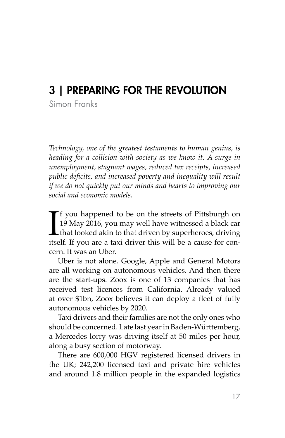# 3 | PREPARING FOR THE REVOLUTION

Simon Franks

*Technology, one of the greatest testaments to human genius, is heading for a collision with society as we know it. A surge in unemployment, stagnant wages, reduced tax receipts, increased public deficits, and increased poverty and inequality will result if we do not quickly put our minds and hearts to improving our social and economic models.*

If you happened to be on the streets of Pittsburgh on 19 May 2016, you may well have witnessed a black can that looked akin to that driven by superheroes, driving itself. If you are a taxi driver this will be a cause for c **T** f you happened to be on the streets of Pittsburgh on 19 May 2016, you may well have witnessed a black car that looked akin to that driven by superheroes, driving cern. It was an Uber.

Uber is not alone. Google, Apple and General Motors are all working on autonomous vehicles. And then there are the start-ups. Zoox is one of 13 companies that has received test licences from California. Already valued at over \$1bn, Zoox believes it can deploy a fleet of fully autonomous vehicles by 2020.

Taxi drivers and their families are not the only ones who should be concerned. Late last year in Baden-Württemberg, a Mercedes lorry was driving itself at 50 miles per hour, along a busy section of motorway.

There are 600,000 HGV registered licensed drivers in the UK; 242,200 licensed taxi and private hire vehicles and around 1.8 million people in the expanded logistics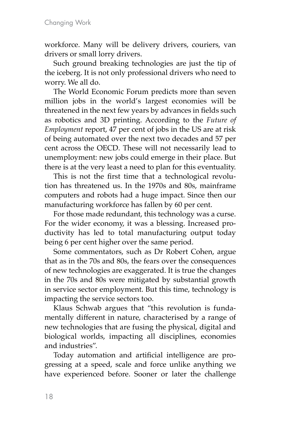workforce. Many will be delivery drivers, couriers, van drivers or small lorry drivers.

Such ground breaking technologies are just the tip of the iceberg. It is not only professional drivers who need to worry. We all do.

The World Economic Forum predicts more than seven million jobs in the world's largest economies will be threatened in the next few years by advances in fields such as robotics and 3D printing. [According to the](http://www.oxfordmartin.ox.ac.uk/downloads/academic/The_Future_of_Employment.pdf) *Future of Employment* [report, 47 per cent of jobs in the US are at risk](http://www.oxfordmartin.ox.ac.uk/downloads/academic/The_Future_of_Employment.pdf) [of being automated](http://www.oxfordmartin.ox.ac.uk/downloads/academic/The_Future_of_Employment.pdf) over the next two decades and 57 per cent across the OECD. These will not necessarily lead to unemployment: new jobs could emerge in their place. But there is at the very least a need to plan for this eventuality.

This is not the first time that a technological revolution has threatened us. In the 1970s and 80s, mainframe computers and robots had a huge impact. Since then our manufacturing workforce has fallen by 60 per cent.

For those made redundant, this technology was a curse. For the wider economy, it was a blessing. Increased productivity has led to total manufacturing output today being 6 per cent higher over the same period.

Some commentators, such as Dr Robert Cohen, argue that as in the 70s and 80s, the fears over the consequences of new technologies are exaggerated. It is true the changes in the 70s and 80s were mitigated by substantial growth in service sector employment. But this time, technology is impacting the service sectors too.

Klaus Schwab argues that "this revolution is fundamentally different in nature, characterised by a range of new technologies that are fusing the physical, digital and biological worlds, impacting all disciplines, economies and industries".

Today automation and artificial intelligence are progressing at a speed, scale and force unlike anything we have experienced before. Sooner or later the challenge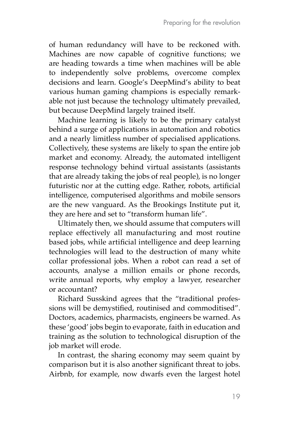of human redundancy will have to be reckoned with. Machines are now capable of cognitive functions; we are heading towards a time when machines will be able to independently solve problems, overcome complex decisions and learn. Google's DeepMind's ability to beat various human gaming champions is especially remarkable not just because the technology ultimately prevailed, but because DeepMind largely trained itself.

Machine learning is likely to be the primary catalyst behind a surge of applications in automation and robotics and a nearly limitless number of specialised applications. Collectively, these systems are likely to span the entire job market and economy. Already, the automated intelligent response technology behind virtual assistants (assistants that are already taking the jobs of real people), is no longer futuristic nor at the cutting edge. Rather, robots, artificial intelligence, computerised algorithms and mobile sensors are the new vanguard. As the Brookings Institute put it, they are here and set to "transform human life".

Ultimately then, we should assume that computers will replace effectively all manufacturing and most routine based jobs, while artificial intelligence and deep learning technologies will lead to the destruction of many white collar professional jobs. When a robot can read a set of accounts, analyse a million emails or phone records, write annual reports, why employ a lawyer, researcher or accountant?

Richard Susskind agrees that the "traditional professions will be demystified, routinised and commoditised". Doctors, academics, pharmacists, engineers be warned. As these 'good' jobs begin to evaporate, faith in education and training as the solution to technological disruption of the job market will erode.

In contrast, the sharing economy may seem quaint by comparison but it is also another significant threat to jobs. Airbnb, for example, now dwarfs even the largest hotel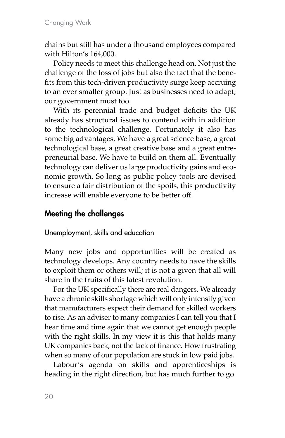chains but still has under a thousand employees compared with Hilton's 164,000.

Policy needs to meet this challenge head on. Not just the challenge of the loss of jobs but also the fact that the benefits from this tech-driven productivity surge keep accruing to an ever smaller group. Just as businesses need to adapt, our government must too.

With its perennial trade and budget deficits the UK already has structural issues to contend with in addition to the technological challenge. Fortunately it also has some big advantages. We have a great science base, a great technological base, a great creative base and a great entrepreneurial base. We have to build on them all. Eventually technology can deliver us large productivity gains and economic growth. So long as public policy tools are devised to ensure a fair distribution of the spoils, this productivity increase will enable everyone to be better off.

## Meeting the challenges

Unemployment, skills and education

Many new jobs and opportunities will be created as technology develops. Any country needs to have the skills to exploit them or others will; it is not a given that all will share in the fruits of this latest revolution.

For the UK specifically there are real dangers. We already have a chronic skills shortage which will only intensify given that manufacturers expect their demand for skilled workers to rise. As an adviser to many companies I can tell you that I hear time and time again that we cannot get enough people with the right skills. In my view it is this that holds many UK companies back, not the lack of finance. How frustrating when so many of our population are stuck in low paid jobs.

Labour's agenda on skills and apprenticeships is heading in the right direction, but has much further to go.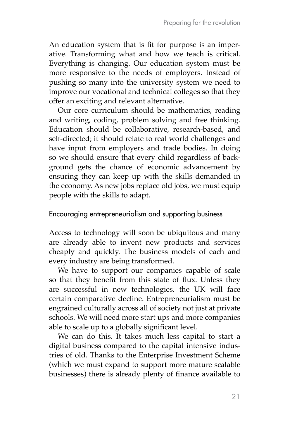An education system that is fit for purpose is an imperative. Transforming what and how we teach is critical. Everything is changing. Our education system must be more responsive to the needs of employers. Instead of pushing so many into the university system we need to improve our vocational and technical colleges so that they offer an exciting and relevant alternative.

Our core curriculum should be mathematics, reading and writing, coding, problem solving and free thinking. Education should be collaborative, research-based, and self-directed; it should relate to real world challenges and have input from employers and trade bodies. In doing so we should ensure that every child regardless of background gets the chance of economic advancement by ensuring they can keep up with the skills demanded in the economy. As new jobs replace old jobs, we must equip people with the skills to adapt.

#### Encouraging entrepreneurialism and supporting business

Access to technology will soon be ubiquitous and many are already able to invent new products and services cheaply and quickly. The business models of each and every industry are being transformed.

We have to support our companies capable of scale so that they benefit from this state of flux. Unless they are successful in new technologies, the UK will face certain comparative decline. Entrepreneurialism must be engrained culturally across all of society not just at private schools. We will need more start ups and more companies able to scale up to a globally significant level.

We can do this. It takes much less capital to start a digital business compared to the capital intensive industries of old. Thanks to the Enterprise Investment Scheme (which we must expand to support more mature scalable businesses) there is already plenty of finance available to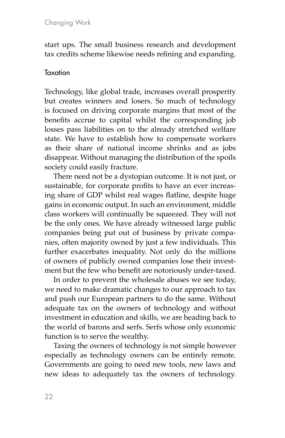start ups. The small business research and development tax credits scheme likewise needs refining and expanding.

#### Taxation

Technology, like global trade, increases overall prosperity but creates winners and losers. So much of technology is focused on driving corporate margins that most of the benefits accrue to capital whilst the corresponding job losses pass liabilities on to the already stretched welfare state. We have to establish how to compensate workers as their share of national income shrinks and as jobs disappear. Without managing the distribution of the spoils society could easily fracture.

There need not be a dystopian outcome. It is not just, or sustainable, for corporate profits to have an ever increasing share of GDP whilst real wages flatline, despite huge gains in economic output. In such an environment, middle class workers will continually be squeezed. They will not be the only ones. We have already witnessed large public companies being put out of business by private companies, often majority owned by just a few individuals. This further exacerbates inequality. Not only do the millions of owners of publicly owned companies lose their investment but the few who benefit are notoriously under-taxed.

In order to prevent the wholesale abuses we see today, we need to make dramatic changes to our approach to tax and push our European partners to do the same. Without adequate tax on the owners of technology and without investment in education and skills, we are heading back to the world of barons and serfs. Serfs whose only economic function is to serve the wealthy.

Taxing the owners of technology is not simple however especially as technology owners can be entirely remote. Governments are going to need new tools, new laws and new ideas to adequately tax the owners of technology.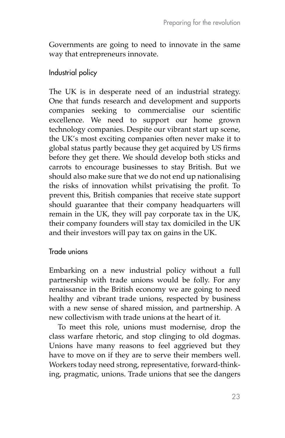Governments are going to need to innovate in the same way that entrepreneurs innovate.

### Industrial policy

The UK is in desperate need of an industrial strategy. One that funds research and development and supports companies seeking to commercialise our scientific excellence. We need to support our home grown technology companies. Despite our vibrant start up scene, the UK's most exciting companies often never make it to global status partly because they get acquired by US firms before they get there. We should develop both sticks and carrots to encourage businesses to stay British. But we should also make sure that we do not end up nationalising the risks of innovation whilst privatising the profit. To prevent this, British companies that receive state support should guarantee that their company headquarters will remain in the UK, they will pay corporate tax in the UK, their company founders will stay tax domiciled in the UK and their investors will pay tax on gains in the UK.

#### Trade unions

Embarking on a new industrial policy without a full partnership with trade unions would be folly. For any renaissance in the British economy we are going to need healthy and vibrant trade unions, respected by business with a new sense of shared mission, and partnership. A new collectivism with trade unions at the heart of it.

To meet this role, unions must modernise, drop the class warfare rhetoric, and stop clinging to old dogmas. Unions have many reasons to feel aggrieved but they have to move on if they are to serve their members well. Workers today need strong, representative, forward-thinking, pragmatic, unions. Trade unions that see the dangers